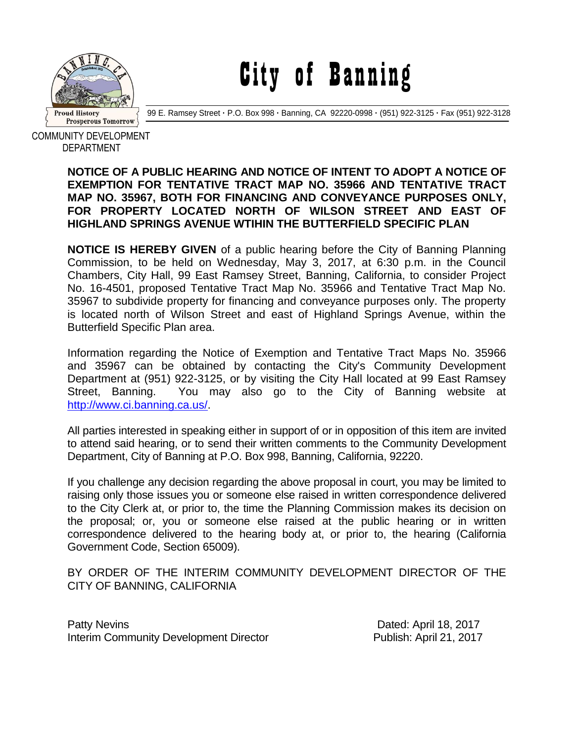

City of Banning

99 E. Ramsey Street **·** P.O. Box 998 **·** Banning, CA 92220-0998 **·** (951) 922-3125 **·** Fax (951) 922-3128

COMMUNITY DEVELOPMENT DEPARTMENT

## **NOTICE OF A PUBLIC HEARING AND NOTICE OF INTENT TO ADOPT A NOTICE OF EXEMPTION FOR TENTATIVE TRACT MAP NO. 35966 AND TENTATIVE TRACT MAP NO. 35967, BOTH FOR FINANCING AND CONVEYANCE PURPOSES ONLY, FOR PROPERTY LOCATED NORTH OF WILSON STREET AND EAST OF HIGHLAND SPRINGS AVENUE WTIHIN THE BUTTERFIELD SPECIFIC PLAN**

**NOTICE IS HEREBY GIVEN** of a public hearing before the City of Banning Planning Commission, to be held on Wednesday, May 3, 2017, at 6:30 p.m. in the Council Chambers, City Hall, 99 East Ramsey Street, Banning, California, to consider Project No. 16-4501, proposed Tentative Tract Map No. 35966 and Tentative Tract Map No. 35967 to subdivide property for financing and conveyance purposes only. The property is located north of Wilson Street and east of Highland Springs Avenue, within the Butterfield Specific Plan area.

Information regarding the Notice of Exemption and Tentative Tract Maps No. 35966 and 35967 can be obtained by contacting the City's Community Development Department at (951) 922-3125, or by visiting the City Hall located at 99 East Ramsey Street, Banning. You may also go to the City of Banning website at [http://www.ci.banning.ca.us/.](http://www.ci.banning.ca.us/)

All parties interested in speaking either in support of or in opposition of this item are invited to attend said hearing, or to send their written comments to the Community Development Department, City of Banning at P.O. Box 998, Banning, California, 92220.

If you challenge any decision regarding the above proposal in court, you may be limited to raising only those issues you or someone else raised in written correspondence delivered to the City Clerk at, or prior to, the time the Planning Commission makes its decision on the proposal; or, you or someone else raised at the public hearing or in written correspondence delivered to the hearing body at, or prior to, the hearing (California Government Code, Section 65009).

BY ORDER OF THE INTERIM COMMUNITY DEVELOPMENT DIRECTOR OF THE CITY OF BANNING, CALIFORNIA

Patty Nevins **Patty News** 2017 Interim Community Development Director **Publish:** April 21, 2017